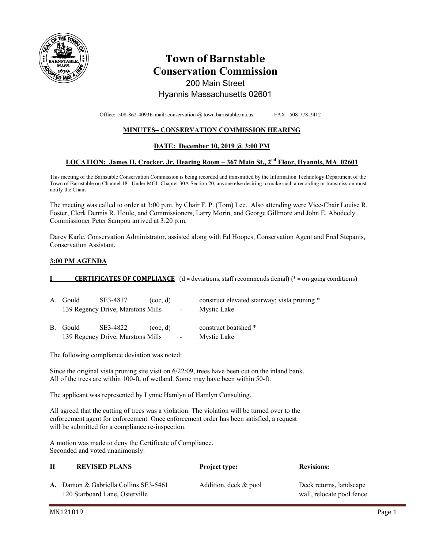

# **Town of Barnstable Conservation Commission**  200 Main Street

# Hyannis Massachusetts 02601

Office: 508-862-4093E-mail: conservation @ town.barnstable.ma.us FAX: 508-778-2412

### **MINUTES– CONSERVATION COMMISSION HEARING**

### **DATE: December 10, 2019 @ 3:00 PM**

### **LOCATION: James H. Crocker, Jr. Hearing Room – 367 Main St., 2nd Floor, Hyannis, MA 02601**

This meeting of the Barnstable Conservation Commission is being recorded and transmitted by the Information Technology Department of the Town of Barnstable on Channel 18. Under MGL Chapter 30A Section 20, anyone else desiring to make such a recording or transmission must notify the Chair.

The meeting was called to order at 3:00 p.m. by Chair F. P. (Tom) Lee. Also attending were Vice-Chair Louise R. Foster, Clerk Dennis R. Houle, and Commissioners, Larry Morin, and George Gillmore and John E. Abodeely. Commissioner Peter Sampou arrived at 3:20 p.m.

Darcy Karle, Conservation Administrator, assisted along with Ed Hoopes, Conservation Agent and Fred Stepanis, Conservation Assistant.

### **3:00 PM AGENDA**

### **I CERTIFICATES OF COMPLIANCE** (d = deviations, staff recommends denial) (\* = on-going conditions)

| A. Gould | SE3-4817<br>139 Regency Drive, Marstons Mills | $($ coc, d $)$<br>$\sim 100$ m $^{-1}$ | construct elevated stairway; vista pruning *<br>Mystic Lake |
|----------|-----------------------------------------------|----------------------------------------|-------------------------------------------------------------|
| B. Gould | SE3-4822<br>139 Regency Drive, Marstons Mills | $($ coc, d $)$<br>$\blacksquare$       | construct boatshed *<br>Mystic Lake                         |

The following compliance deviation was noted:

Since the original vista pruning site visit on 6/22/09, trees have been cut on the inland bank. All of the trees are within 100-ft. of wetland. Some may have been within 50-ft.

The applicant was represented by Lynne Hamlyn of Hamlyn Consulting.

All agreed that the cutting of trees was a violation. The violation will be turned over to the enforcement agent for enforcement. Once enforcement order has been satisfied, a request will be submitted for a compliance re-inspection.

A motion was made to deny the Certificate of Compliance. Seconded and voted unanimously.

### **II REVISED PLANS Project type: Revisions:**

**A.** Damon & Gabriella Collins SE3-5461 Addition, deck & pool Deck returns, landscape 120 Starboard Lane, Osterville wall, relocate pool fence.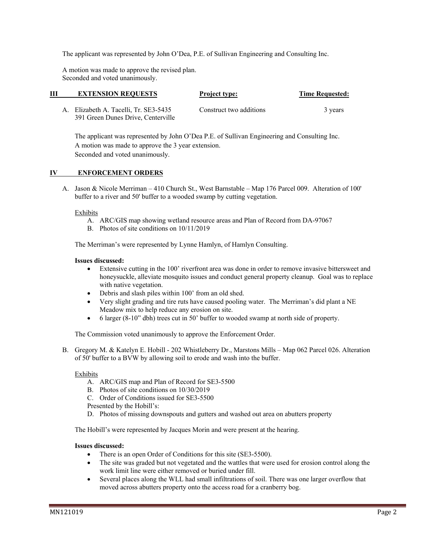The applicant was represented by John O'Dea, P.E. of Sullivan Engineering and Consulting Inc.

 A motion was made to approve the revised plan. Seconded and voted unanimously.

| Ш | <b>EXTENSION REQUESTS</b>                                                   | <b>Project type:</b>    | <b>Time Requested:</b> |
|---|-----------------------------------------------------------------------------|-------------------------|------------------------|
|   | A. Elizabeth A. Tacelli, Tr. SE3-5435<br>391 Green Dunes Drive, Centerville | Construct two additions | 3 years                |

 The applicant was represented by John O'Dea P.E. of Sullivan Engineering and Consulting Inc. A motion was made to approve the 3 year extension. Seconded and voted unanimously.

### **IV ENFORCEMENT ORDERS**

A. Jason & Nicole Merriman – 410 Church St., West Barnstable – Map 176 Parcel 009. Alteration of 100' buffer to a river and 50' buffer to a wooded swamp by cutting vegetation.

### Exhibits

- A. ARC/GIS map showing wetland resource areas and Plan of Record from DA-97067
- B. Photos of site conditions on 10/11/2019

The Merriman's were represented by Lynne Hamlyn, of Hamlyn Consulting.

#### **Issues discussed:**

- Extensive cutting in the 100' riverfront area was done in order to remove invasive bittersweet and honeysuckle, alleviate mosquito issues and conduct general property cleanup. Goal was to replace with native vegetation.
- Debris and slash piles within 100' from an old shed.
- Very slight grading and tire ruts have caused pooling water. The Merriman's did plant a NE Meadow mix to help reduce any erosion on site.
- 6 larger (8-10" dbh) trees cut in 50' buffer to wooded swamp at north side of property.

The Commission voted unanimously to approve the Enforcement Order.

B. Gregory M. & Katelyn E. Hobill - 202 Whistleberry Dr., Marstons Mills – Map 062 Parcel 026. Alteration of 50' buffer to a BVW by allowing soil to erode and wash into the buffer.

### Exhibits

- A. ARC/GIS map and Plan of Record for SE3-5500
- B. Photos of site conditions on 10/30/2019
- C. Order of Conditions issued for SE3-5500

Presented by the Hobill's:

D. Photos of missing downspouts and gutters and washed out area on abutters property

The Hobill's were represented by Jacques Morin and were present at the hearing.

### **Issues discussed:**

- There is an open Order of Conditions for this site (SE3-5500).
- The site was graded but not vegetated and the wattles that were used for erosion control along the work limit line were either removed or buried under fill.
- Several places along the WLL had small infiltrations of soil. There was one larger overflow that moved across abutters property onto the access road for a cranberry bog.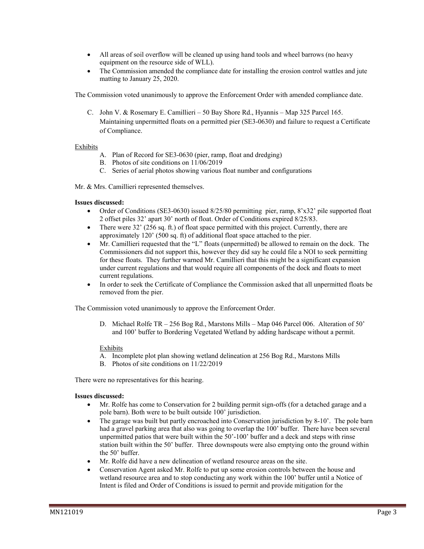- All areas of soil overflow will be cleaned up using hand tools and wheel barrows (no heavy equipment on the resource side of WLL).
- The Commission amended the compliance date for installing the erosion control wattles and jute matting to January 25, 2020.

The Commission voted unanimously to approve the Enforcement Order with amended compliance date.

C. John V. & Rosemary E. Camillieri – 50 Bay Shore Rd., Hyannis – Map 325 Parcel 165. Maintaining unpermitted floats on a permitted pier (SE3-0630) and failure to request a Certificate of Compliance.

# Exhibits

- A. Plan of Record for SE3-0630 (pier, ramp, float and dredging)
- B. Photos of site conditions on 11/06/2019
- C. Series of aerial photos showing various float number and configurations

Mr. & Mrs. Camillieri represented themselves.

### **Issues discussed:**

- Order of Conditions (SE3-0630) issued 8/25/80 permitting pier, ramp, 8'x32' pile supported float 2 offset piles 32' apart 30' north of float. Order of Conditions expired 8/25/83.
- There were  $32'$  (256 sq. ft.) of float space permitted with this project. Currently, there are approximately 120' (500 sq. ft) of additional float space attached to the pier.
- Mr. Camillieri requested that the "L" floats (unpermitted) be allowed to remain on the dock. The Commissioners did not support this, however they did say he could file a NOI to seek permitting for these floats. They further warned Mr. Camillieri that this might be a significant expansion under current regulations and that would require all components of the dock and floats to meet current regulations.
- In order to seek the Certificate of Compliance the Commission asked that all unpermitted floats be removed from the pier.

The Commission voted unanimously to approve the Enforcement Order.

D. Michael Rolfe TR – 256 Bog Rd., Marstons Mills – Map 046 Parcel 006. Alteration of 50' and 100' buffer to Bordering Vegetated Wetland by adding hardscape without a permit.

### Exhibits

- A. Incomplete plot plan showing wetland delineation at 256 Bog Rd., Marstons Mills
- B. Photos of site conditions on 11/22/2019

There were no representatives for this hearing.

### **Issues discussed:**

- Mr. Rolfe has come to Conservation for 2 building permit sign-offs (for a detached garage and a pole barn). Both were to be built outside 100' jurisdiction.
- The garage was built but partly encroached into Conservation iurisdiction by 8-10'. The pole barn had a gravel parking area that also was going to overlap the 100' buffer. There have been several unpermitted patios that were built within the 50'-100' buffer and a deck and steps with rinse station built within the 50' buffer. Three downspouts were also emptying onto the ground within the 50' buffer.
- Mr. Rolfe did have a new delineation of wetland resource areas on the site.
- Conservation Agent asked Mr. Rolfe to put up some erosion controls between the house and wetland resource area and to stop conducting any work within the 100' buffer until a Notice of Intent is filed and Order of Conditions is issued to permit and provide mitigation for the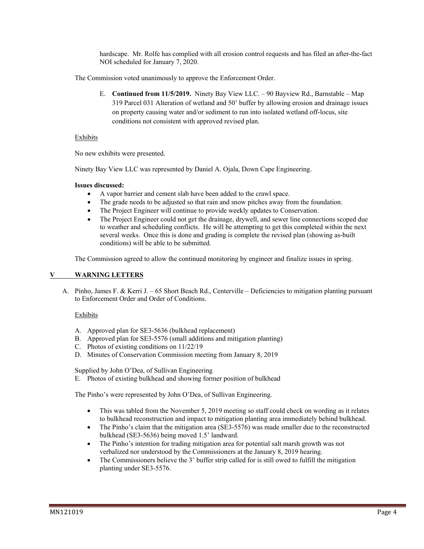hardscape. Mr. Rolfe has complied with all erosion control requests and has filed an after-the-fact NOI scheduled for January 7, 2020.

The Commission voted unanimously to approve the Enforcement Order.

E. **Continued from 11/5/2019.** Ninety Bay View LLC. – 90 Bayview Rd., Barnstable – Map 319 Parcel 031 Alteration of wetland and 50' buffer by allowing erosion and drainage issues on property causing water and/or sediment to run into isolated wetland off-locus, site conditions not consistent with approved revised plan.

# Exhibits

No new exhibits were presented.

Ninety Bay View LLC was represented by Daniel A. Ojala, Down Cape Engineering.

# **Issues discussed:**

- A vapor barrier and cement slab have been added to the crawl space.
- The grade needs to be adjusted so that rain and snow pitches away from the foundation.
- The Project Engineer will continue to provide weekly updates to Conservation.
- The Project Engineer could not get the drainage, drywell, and sewer line connections scoped due to weather and scheduling conflicts. He will be attempting to get this completed within the next several weeks. Once this is done and grading is complete the revised plan (showing as-built conditions) will be able to be submitted.

The Commission agreed to allow the continued monitoring by engineer and finalize issues in spring.

# **V WARNING LETTERS**

A. Pinho, James F. & Kerri J. – 65 Short Beach Rd., Centerville – Deficiencies to mitigation planting pursuant to Enforcement Order and Order of Conditions.

# Exhibits

- A. Approved plan for SE3-5636 (bulkhead replacement)
- B. Approved plan for SE3-5576 (small additions and mitigation planting)
- C. Photos of existing conditions on 11/22/19
- D. Minutes of Conservation Commission meeting from January 8, 2019

Supplied by John O'Dea, of Sullivan Engineering

E. Photos of existing bulkhead and showing former position of bulkhead

The Pinho's were represented by John O'Dea, of Sullivan Engineering.

- This was tabled from the November 5, 2019 meeting so staff could check on wording as it relates to bulkhead reconstruction and impact to mitigation planting area immediately behind bulkhead.
- The Pinho's claim that the mitigation area (SE3-5576) was made smaller due to the reconstructed bulkhead (SE3-5636) being moved 1.5' landward.
- The Pinho's intention for trading mitigation area for potential salt marsh growth was not verbalized nor understood by the Commissioners at the January 8, 2019 hearing.
- The Commissioners believe the 3' buffer strip called for is still owed to fulfill the mitigation planting under SE3-5576.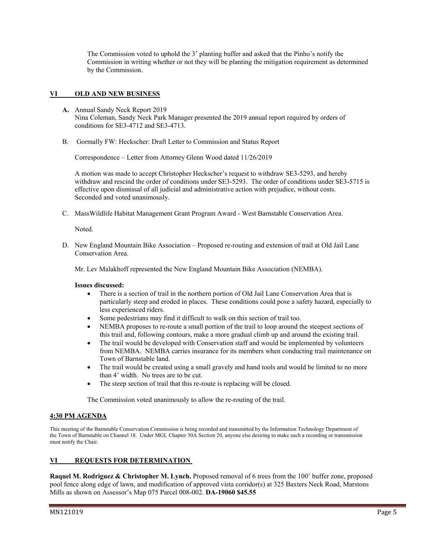The Commission voted to uphold the 3' planting buffer and asked that the Pinho's notify the Commission in writing whether or not they will be planting the mitigation requirement as determined by the Commission.

# **VI OLD AND NEW BUSINESS**

- **A.** Annual Sandy Neck Report 2019 Nina Coleman, Sandy Neck Park Manager presented the 2019 annual report required by orders of conditions for SE3-4712 and SE3-4713.
- B. Gormally FW: Heckscher: Draft Letter to Commission and Status Report

Correspondence – Letter from Attorney Glenn Wood dated 11/26/2019

A motion was made to accept Christopher Heckscher's request to withdraw SE3-5293, and hereby withdraw and rescind the order of conditions under SE3-5293. The order of conditions under SE3-5715 is effective upon dismissal of all judicial and administrative action with prejudice, without costs. Seconded and voted unanimously.

C. MassWildlife Habitat Management Grant Program Award - West Barnstable Conservation Area.

Noted.

D. New England Mountain Bike Association – Proposed re-routing and extension of trail at Old Jail Lane Conservation Area.

Mr. Lev Malakhoff represented the New England Mountain Bike Association (NEMBA).

### **Issues discussed:**

- There is a section of trail in the northern portion of Old Jail Lane Conservation Area that is particularly steep and eroded in places. These conditions could pose a safety hazard, especially to less experienced riders.
- Some pedestrians may find it difficult to walk on this section of trail too.
- NEMBA proposes to re-route a small portion of the trail to loop around the steepest sections of this trail and, following contours, make a more gradual climb up and around the existing trail.
- The trail would be developed with Conservation staff and would be implemented by volunteers from NEMBA. NEMBA carries insurance for its members when conducting trail maintenance on Town of Barnstable land.
- The trail would be created using a small gravely and hand tools and would be limited to no more than 4' width. No trees are to be cut.
- The steep section of trail that this re-route is replacing will be closed.

The Commission voted unanimously to allow the re-routing of the trail.

### **4:30 PM AGENDA**

This meeting of the Barnstable Conservation Commission is being recorded and transmitted by the Information Technology Department of the Town of Barnstable on Channel 18. Under MGL Chapter 30A Section 20, anyone else desiring to make such a recording or transmission must notify the Chair.

# **VI REQUESTS FOR DETERMINATION**

**Raquel M. Rodriguez & Christopher M. Lynch.** Proposed removal of 6 trees from the 100' buffer zone, proposed pool fence along edge of lawn, and modification of approved vista corridor(s) at 325 Baxters Neck Road, Marstons Mills as shown on Assessor's Map 075 Parcel 008-002. **DA-19060 \$45.55**